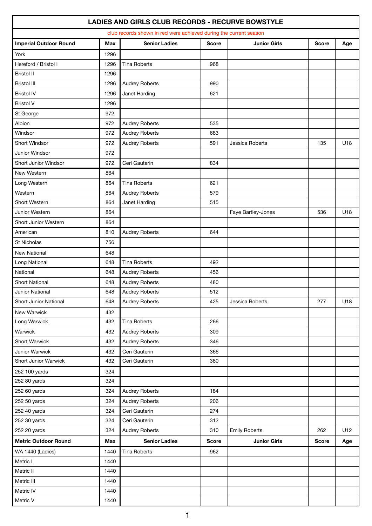|                               |            | club records shown in red were achieved during the current season |              |                      |              |     |
|-------------------------------|------------|-------------------------------------------------------------------|--------------|----------------------|--------------|-----|
| <b>Imperial Outdoor Round</b> | <b>Max</b> | <b>Senior Ladies</b>                                              | <b>Score</b> | <b>Junior Girls</b>  | <b>Score</b> | Age |
| York                          | 1296       |                                                                   |              |                      |              |     |
| Hereford / Bristol I          | 1296       | <b>Tina Roberts</b>                                               | 968          |                      |              |     |
| <b>Bristol II</b>             | 1296       |                                                                   |              |                      |              |     |
| <b>Bristol III</b>            | 1296       | Audrey Roberts                                                    | 990          |                      |              |     |
| <b>Bristol IV</b>             | 1296       | Janet Harding                                                     | 621          |                      |              |     |
| <b>Bristol V</b>              | 1296       |                                                                   |              |                      |              |     |
| St George                     | 972        |                                                                   |              |                      |              |     |
| Albion                        | 972        | <b>Audrey Roberts</b>                                             | 535          |                      |              |     |
| Windsor                       | 972        | <b>Audrey Roberts</b>                                             | 683          |                      |              |     |
| Short Windsor                 | 972        | <b>Audrey Roberts</b>                                             | 591          | Jessica Roberts      | 135          | U18 |
| Junior Windsor                | 972        |                                                                   |              |                      |              |     |
| Short Junior Windsor          | 972        | Ceri Gauterin                                                     | 834          |                      |              |     |
| New Western                   | 864        |                                                                   |              |                      |              |     |
| Long Western                  | 864        | <b>Tina Roberts</b>                                               | 621          |                      |              |     |
| Western                       | 864        | <b>Audrey Roberts</b>                                             | 579          |                      |              |     |
| Short Western                 | 864        | Janet Harding                                                     | 515          |                      |              |     |
| Junior Western                | 864        |                                                                   |              | Faye Bartley-Jones   | 536          | U18 |
| Short Junior Western          | 864        |                                                                   |              |                      |              |     |
| American                      | 810        | <b>Audrey Roberts</b>                                             | 644          |                      |              |     |
| <b>St Nicholas</b>            | 756        |                                                                   |              |                      |              |     |
| New National                  | 648        |                                                                   |              |                      |              |     |
| Long National                 | 648        | <b>Tina Roberts</b>                                               | 492          |                      |              |     |
| National                      | 648        | <b>Audrey Roberts</b>                                             | 456          |                      |              |     |
| <b>Short National</b>         | 648        | <b>Audrey Roberts</b>                                             | 480          |                      |              |     |
| Junior National               | 648        | <b>Audrey Roberts</b>                                             | 512          |                      |              |     |
| Short Junior National         | 648        | Audrey Roberts                                                    | 425          | Jessica Roberts      | 277          | U18 |
| New Warwick                   | 432        |                                                                   |              |                      |              |     |
| Long Warwick                  | 432        | <b>Tina Roberts</b>                                               | 266          |                      |              |     |
| Warwick                       | 432        | <b>Audrey Roberts</b>                                             | 309          |                      |              |     |
| Short Warwick                 | 432        | Audrey Roberts                                                    | 346          |                      |              |     |
| Junior Warwick                | 432        | Ceri Gauterin                                                     | 366          |                      |              |     |
| Short Junior Warwick          | 432        | Ceri Gauterin                                                     | 380          |                      |              |     |
| 252 100 yards                 | 324        |                                                                   |              |                      |              |     |
| 252 80 yards                  | 324        |                                                                   |              |                      |              |     |
| 252 60 yards                  | 324        | Audrey Roberts                                                    | 184          |                      |              |     |
| 252 50 yards                  | 324        | Audrey Roberts                                                    | 206          |                      |              |     |
| 252 40 yards                  | 324        | Ceri Gauterin                                                     | 274          |                      |              |     |
| 252 30 yards                  | 324        | Ceri Gauterin                                                     | 312          |                      |              |     |
| 252 20 yards                  | 324        | Audrey Roberts                                                    | 310          | <b>Emily Roberts</b> | 262          | U12 |
| <b>Metric Outdoor Round</b>   | <b>Max</b> | <b>Senior Ladies</b>                                              | <b>Score</b> | <b>Junior Girls</b>  | <b>Score</b> | Age |
| WA 1440 (Ladies)              | 1440       | <b>Tina Roberts</b>                                               | 962          |                      |              |     |
| Metric I                      | 1440       |                                                                   |              |                      |              |     |
| Metric II                     | 1440       |                                                                   |              |                      |              |     |
| Metric III                    | 1440       |                                                                   |              |                      |              |     |
| Metric IV                     | 1440       |                                                                   |              |                      |              |     |
| Metric V                      | 1440       |                                                                   |              |                      |              |     |